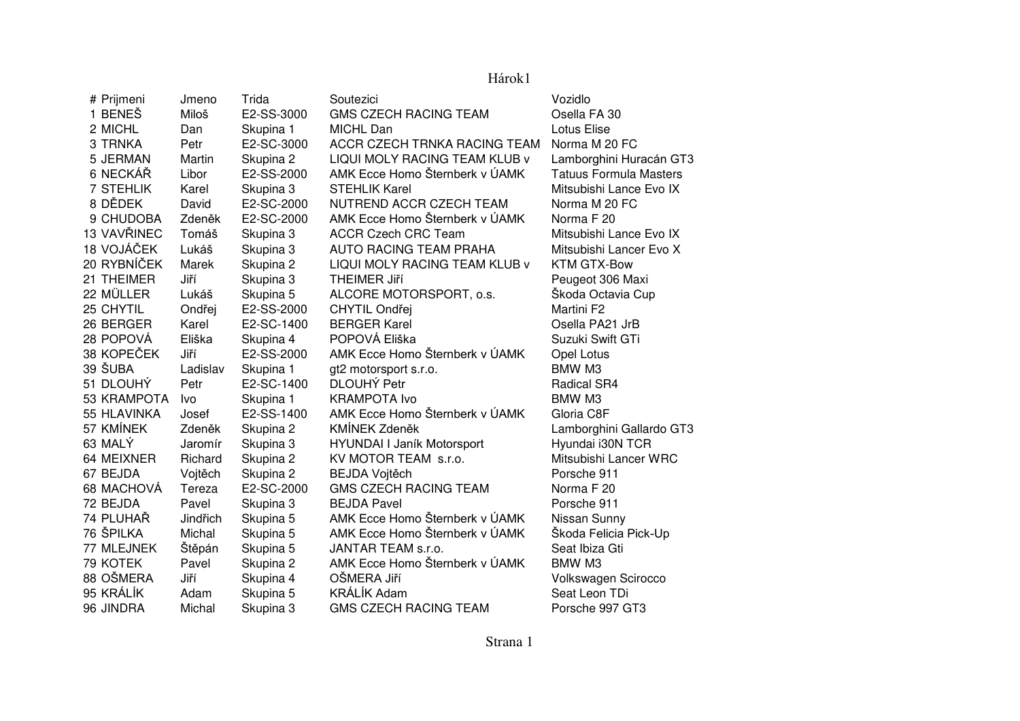## Hárok1

| # Prijmeni  | Jmeno    | Trida      | Soutezici                      | Vozidlo                       |
|-------------|----------|------------|--------------------------------|-------------------------------|
| 1 BENEŠ     | Miloš    | E2-SS-3000 | <b>GMS CZECH RACING TEAM</b>   | Osella FA 30                  |
| 2 MICHL     | Dan      | Skupina 1  | MICHL Dan                      | Lotus Elise                   |
| 3 TRNKA     | Petr     | E2-SC-3000 | ACCR CZECH TRNKA RACING TEAM   | Norma M 20 FC                 |
| 5 JERMAN    | Martin   | Skupina 2  | LIQUI MOLY RACING TEAM KLUB v  | Lamborghini Huracán GT3       |
| 6 NECKÁŘ    | Libor    | E2-SS-2000 | AMK Ecce Homo Šternberk v ÚAMK | <b>Tatuus Formula Masters</b> |
| 7 STEHLIK   | Karel    | Skupina 3  | <b>STEHLIK Karel</b>           | Mitsubishi Lance Evo IX       |
| 8 DĚDEK     | David    | E2-SC-2000 | NUTREND ACCR CZECH TEAM        | Norma M 20 FC                 |
| 9 CHUDOBA   | Zdeněk   | E2-SC-2000 | AMK Ecce Homo Šternberk v ÚAMK | Norma F 20                    |
| 13 VAVŘINEC | Tomáš    | Skupina 3  | <b>ACCR Czech CRC Team</b>     | Mitsubishi Lance Evo IX       |
| 18 VOJÁČEK  | Lukáš    | Skupina 3  | <b>AUTO RACING TEAM PRAHA</b>  | Mitsubishi Lancer Evo X       |
| 20 RYBNÍČEK | Marek    | Skupina 2  | LIQUI MOLY RACING TEAM KLUB v  | KTM GTX-Bow                   |
| 21 THEIMER  | Jiří     | Skupina 3  | <b>THEIMER JIří</b>            | Peugeot 306 Maxi              |
| 22 MÜLLER   | Lukáš    | Skupina 5  | ALCORE MOTORSPORT, o.s.        | Škoda Octavia Cup             |
| 25 CHYTIL   | Ondřej   | E2-SS-2000 | CHYTIL Ondřej                  | Martini F2                    |
| 26 BERGER   | Karel    | E2-SC-1400 | <b>BERGER Karel</b>            | Osella PA21 JrB               |
| 28 POPOVÁ   | Eliška   | Skupina 4  | POPOVÁ Eliška                  | Suzuki Swift GTi              |
| 38 KOPEČEK  | Jiří     | E2-SS-2000 | AMK Ecce Homo Šternberk v ÚAMK | Opel Lotus                    |
| 39 ŠUBA     | Ladislav | Skupina 1  | gt2 motorsport s.r.o.          | BMW M3                        |
| 51 DLOUHÝ   | Petr     | E2-SC-1400 | <b>DLOUHÝ Petr</b>             | Radical SR4                   |
| 53 KRAMPOTA | Ivo      | Skupina 1  | <b>KRAMPOTA Ivo</b>            | BMW M3                        |
| 55 HLAVINKA | Josef    | E2-SS-1400 | AMK Ecce Homo Šternberk v ÚAMK | Gloria C8F                    |
| 57 KMÍNEK   | Zdeněk   | Skupina 2  | KMÍNEK Zdeněk                  | Lamborghini Gallardo GT3      |
| 63 MALÝ     | Jaromír  | Skupina 3  | HYUNDAI I Janík Motorsport     | Hyundai i30N TCR              |
| 64 MEIXNER  | Richard  | Skupina 2  | KV MOTOR TEAM s.r.o.           | Mitsubishi Lancer WRC         |
| 67 BEJDA    | Vojtěch  | Skupina 2  | <b>BEJDA Vojtěch</b>           | Porsche 911                   |
| 68 MACHOVÁ  | Tereza   | E2-SC-2000 | <b>GMS CZECH RACING TEAM</b>   | Norma F 20                    |
| 72 BEJDA    | Pavel    | Skupina 3  | <b>BEJDA Pavel</b>             | Porsche 911                   |
| 74 PLUHAŘ   | Jindřich | Skupina 5  | AMK Ecce Homo Šternberk v ÚAMK | Nissan Sunny                  |
| 76 ŠPILKA   | Michal   | Skupina 5  | AMK Ecce Homo Šternberk v ÚAMK | Škoda Felicia Pick-Up         |
| 77 MLEJNEK  | Štěpán   | Skupina 5  | JANTAR TEAM s.r.o.             | Seat Ibiza Gti                |
| 79 KOTEK    | Pavel    | Skupina 2  | AMK Ecce Homo Šternberk v ÚAMK | BMW M3                        |
| 88 OŠMERA   | Jiří     | Skupina 4  | OŠMERA Jiří                    | Volkswagen Scirocco           |
| 95 KRÁLÍK   | Adam     | Skupina 5  | <b>KRÁLÍK Adam</b>             | Seat Leon TDi                 |
| 96 JINDRA   | Michal   | Skupina 3  | <b>GMS CZECH RACING TEAM</b>   | Porsche 997 GT3               |

Strana 1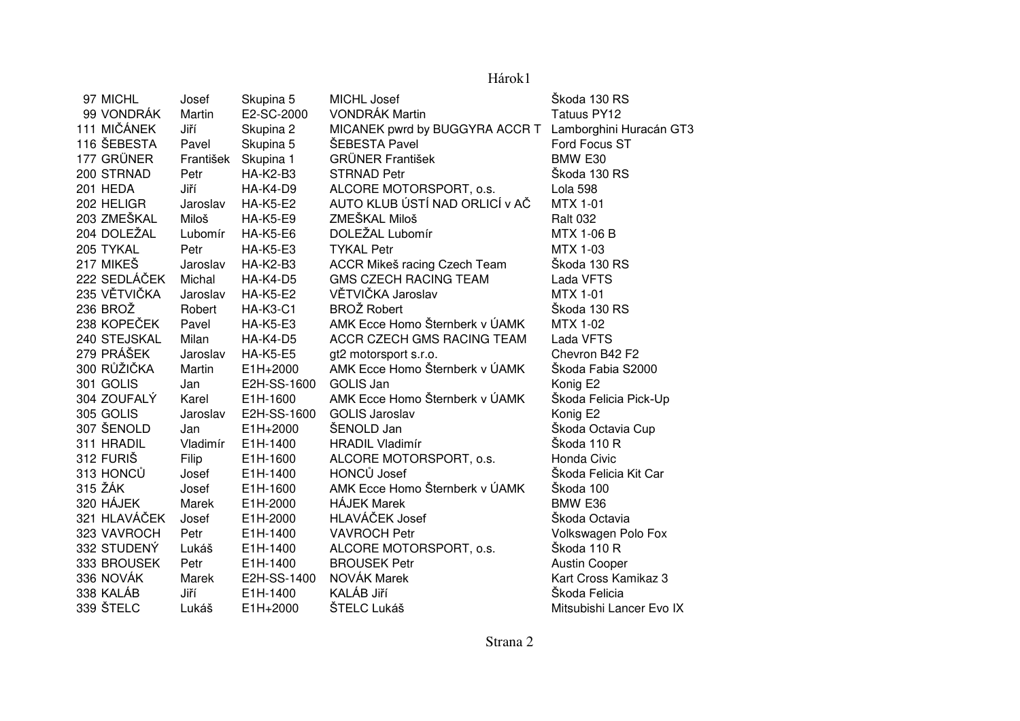## Hárok1

| 97 MICHL     | Josef     | Skupina 5       | MICHL Josef                    | Škoda 130 RS             |
|--------------|-----------|-----------------|--------------------------------|--------------------------|
| 99 VONDRÁK   | Martin    | E2-SC-2000      | <b>VONDRÁK Martin</b>          | <b>Tatuus PY12</b>       |
| 111 MIČÁNEK  | Jiří      | Skupina 2       | MICANEK pwrd by BUGGYRA ACCR T | Lamborghini Huracán GT3  |
| 116 ŠEBESTA  | Pavel     | Skupina 5       | ŠEBESTA Pavel                  | Ford Focus ST            |
| 177 GRÜNER   | František | Skupina 1       | <b>GRÜNER František</b>        | BMW E30                  |
| 200 STRNAD   | Petr      | <b>HA-K2-B3</b> | <b>STRNAD Petr</b>             | Škoda 130 RS             |
| 201 HEDA     | Jiří      | <b>HA-K4-D9</b> | ALCORE MOTORSPORT, o.s.        | Lola 598                 |
| 202 HELIGR   | Jaroslav  | <b>HA-K5-E2</b> | AUTO KLUB ÚSTÍ NAD ORLICÍ v AČ | <b>MTX 1-01</b>          |
| 203 ZMEŠKAL  | Miloš     | <b>HA-K5-E9</b> | ZMEŠKAL Miloš                  | <b>Ralt 032</b>          |
| 204 DOLEŽAL  | Lubomír   | <b>HA-K5-E6</b> | DOLEŽAL Lubomír                | <b>MTX 1-06 B</b>        |
| 205 TYKAL    | Petr      | <b>HA-K5-E3</b> | <b>TYKAL Petr</b>              | MTX 1-03                 |
| 217 MIKEŠ    | Jaroslav  | <b>HA-K2-B3</b> | ACCR Mikeš racing Czech Team   | Škoda 130 RS             |
| 222 SEDLÁČEK | Michal    | <b>HA-K4-D5</b> | <b>GMS CZECH RACING TEAM</b>   | Lada VFTS                |
| 235 VĚTVIČKA | Jaroslav  | <b>HA-K5-E2</b> | VĚTVIČKA Jaroslav              | <b>MTX 1-01</b>          |
| 236 BROŽ     | Robert    | <b>HA-K3-C1</b> | <b>BROŽ Robert</b>             | Škoda 130 RS             |
| 238 KOPEČEK  | Pavel     | <b>HA-K5-E3</b> | AMK Ecce Homo Šternberk v ÚAMK | <b>MTX 1-02</b>          |
| 240 STEJSKAL | Milan     | <b>HA-K4-D5</b> | ACCR CZECH GMS RACING TEAM     | Lada VFTS                |
| 279 PRÁŠEK   | Jaroslav  | <b>HA-K5-E5</b> | gt2 motorsport s.r.o.          | Chevron B42 F2           |
| 300 RŮŽIČKA  | Martin    | E1H+2000        | AMK Ecce Homo Šternberk v ÚAMK | Škoda Fabia S2000        |
| 301 GOLIS    | Jan       | E2H-SS-1600     | <b>GOLIS Jan</b>               | Konig E2                 |
| 304 ZOUFALY  | Karel     | E1H-1600        | AMK Ecce Homo Šternberk v ÚAMK | Škoda Felicia Pick-Up    |
| 305 GOLIS    | Jaroslav  | E2H-SS-1600     | <b>GOLIS Jaroslav</b>          | Konig E2                 |
| 307 ŠENOLD   | Jan       | E1H+2000        | ŠENOLD Jan                     | Škoda Octavia Cup        |
| 311 HRADIL   | Vladimír  | E1H-1400        | <b>HRADIL Vladimír</b>         | Škoda 110 R              |
| 312 FURIŠ    | Filip     | E1H-1600        | ALCORE MOTORSPORT, o.s.        | Honda Civic              |
| 313 HONCŮ    | Josef     | E1H-1400        | <b>HONCŮ Josef</b>             | Škoda Felicia Kit Car    |
| 315 ŽÁK      | Josef     | E1H-1600        | AMK Ecce Homo Šternberk v ÚAMK | Škoda 100                |
| 320 HÁJEK    | Marek     | E1H-2000        | <b>HÁJEK Marek</b>             | BMW E36                  |
| 321 HLAVÁČEK | Josef     | E1H-2000        | HLAVÁČEK Josef                 | Škoda Octavia            |
| 323 VAVROCH  | Petr      | E1H-1400        | <b>VAVROCH Petr</b>            | Volkswagen Polo Fox      |
| 332 STUDENÝ  | Lukáš     | E1H-1400        | ALCORE MOTORSPORT, o.s.        | Škoda 110 R              |
| 333 BROUSEK  | Petr      | E1H-1400        | <b>BROUSEK Petr</b>            | <b>Austin Cooper</b>     |
| 336 NOVÁK    | Marek     | E2H-SS-1400     | NOVÁK Marek                    | Kart Cross Kamikaz 3     |
| 338 KALÁB    | Jiří      | E1H-1400        | KALÁB Jiří                     | Škoda Felicia            |
| 339 ŠTELC    | Lukáš     | E1H+2000        | ŠTELC Lukáš                    | Mitsubishi Lancer Evo IX |